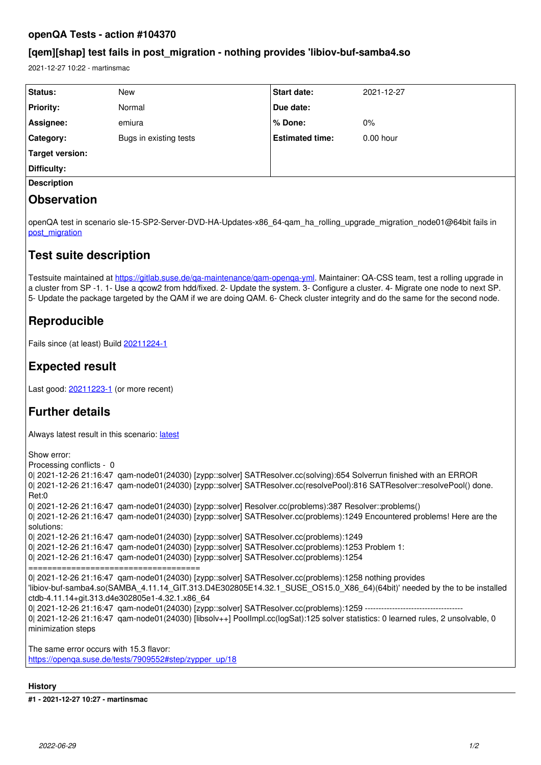### **openQA Tests - action #104370**

## **[qem][shap] test fails in post\_migration - nothing provides 'libiov-buf-samba4.so**

2021-12-27 10:22 - martinsmac

| <b>Status:</b>         | New                    | <b>Start date:</b>     | 2021-12-27  |
|------------------------|------------------------|------------------------|-------------|
|                        |                        |                        |             |
| <b>Priority:</b>       | Normal                 | Due date:              |             |
| Assignee:              | emiura                 | % Done:                | $0\%$       |
| Category:              | Bugs in existing tests | <b>Estimated time:</b> | $0.00$ hour |
| <b>Target version:</b> |                        |                        |             |
| Difficulty:            |                        |                        |             |
| <b>Description</b>     |                        |                        |             |
|                        |                        |                        |             |

# **Observation**

openQA test in scenario sle-15-SP2-Server-DVD-HA-Updates-x86\_64-qam\_ha\_rolling\_upgrade\_migration\_node01@64bit fails in [post\\_migration](https://openqa.suse.de/tests/7907836/modules/post_migration/steps/68)

# **Test suite description**

Testsuite maintained at https://gitlab.suse.de/ga-maintenance/gam-openga-yml. Maintainer: QA-CSS team, test a rolling upgrade in a cluster from SP -1. 1- Use a qcow2 from hdd/fixed. 2- Update the system. 3- Configure a cluster. 4- Migrate one node to next SP. 5- Update the package targeted by the QAM if we are doing QAM. 6- Check cluster integrity and do the same for the second node.

# **Reproducible**

Fails since (at least) Build [20211224-1](https://openqa.suse.de/tests/7900635)

# **Expected result**

Last good: [20211223-1](https://openqa.suse.de/tests/7896487) (or more recent)

# **Further details**

Always [latest](https://openqa.suse.de/tests/latest?arch=x86_64&distri=sle&flavor=Server-DVD-HA-Updates&machine=64bit&test=qam_ha_rolling_upgrade_migration_node01&version=15-SP2) result in this scenario: latest

```
Show error:
Processing conflicts - 0
0| 2021-12-26 21:16:47 qam-node01(24030) [zypp::solver] SATResolver.cc(solving):654 Solverrun finished with an ERROR
0| 2021-12-26 21:16:47 qam-node01(24030) [zypp::solver] SATResolver.cc(resolvePool):816 SATResolver::resolvePool() done.
Ret:0
0| 2021-12-26 21:16:47 qam-node01(24030) [zypp::solver] Resolver.cc(problems):387 Resolver::problems()
0| 2021-12-26 21:16:47 qam-node01(24030) [zypp::solver] SATResolver.cc(problems):1249 Encountered problems! Here are the
solutions:
0| 2021-12-26 21:16:47 qam-node01(24030) [zypp::solver] SATResolver.cc(problems):1249
0| 2021-12-26 21:16:47 qam-node01(24030) [zypp::solver] SATResolver.cc(problems):1253 Problem 1:
0| 2021-12-26 21:16:47 qam-node01(24030) [zypp::solver] SATResolver.cc(problems):1254
====================================
0| 2021-12-26 21:16:47 qam-node01(24030) [zypp::solver] SATResolver.cc(problems):1258 nothing provides
'libiov-buf-samba4.so(SAMBA_4.11.14_GIT.313.D4E302805E14.32.1_SUSE_OS15.0_X86_64)(64bit)' needed by the to be installed
ctdb-4.11.14+git.313.d4e302805e1-4.32.1.x86_64
0| 2021-12-26 21:16:47 gam-node01(24030) [zypp::solver] SATResolver.cc(problems):1259 -----------------------
0| 2021-12-26 21:16:47 qam-node01(24030) [libsolv++] PoolImpl.cc(logSat):125 solver statistics: 0 learned rules, 2 unsolvable, 0
minimization steps
```
The same error occurs with 15.3 flavor: [https://openqa.suse.de/tests/7909552#step/zypper\\_up/18](https://openqa.suse.de/tests/7909552#step/zypper_up/18)

### **History**

**#1 - 2021-12-27 10:27 - martinsmac**